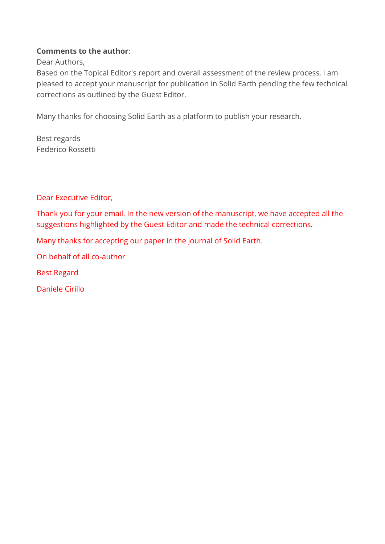## **Comments to the author**:

Dear Authors,

Based on the Topical Editor's report and overall assessment of the review process, I am pleased to accept your manuscript for publication in Solid Earth pending the few technical corrections as outlined by the Guest Editor.

Many thanks for choosing Solid Earth as a platform to publish your research.

Best regards Federico Rossetti

Dear Executive Editor,

Thank you for your email. In the new version of the manuscript, we have accepted all the suggestions highlighted by the Guest Editor and made the technical corrections.

Many thanks for accepting our paper in the journal of Solid Earth.

On behalf of all co-author

Best Regard

Daniele Cirillo